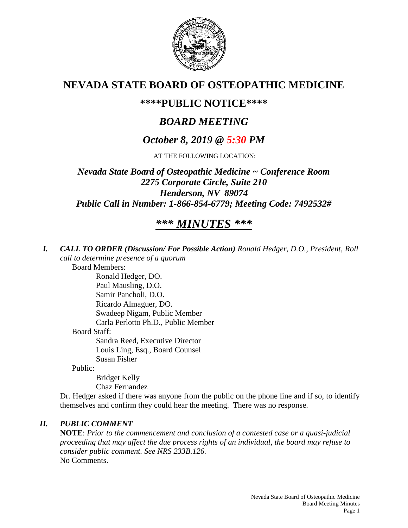

# **NEVADA STATE BOARD OF OSTEOPATHIC MEDICINE**

## **\*\*\*\*PUBLIC NOTICE\*\*\*\***

# *BOARD MEETING*

# *October 8, 2019 @ 5:30 PM*

AT THE FOLLOWING LOCATION:

*Nevada State Board of Osteopathic Medicine ~ Conference Room 2275 Corporate Circle, Suite 210 Henderson, NV 89074 Public Call in Number: 1-866-854-6779; Meeting Code: 7492532#*

# *\*\*\* MINUTES \*\*\**

*I. CALL TO ORDER (Discussion/ For Possible Action) Ronald Hedger, D.O., President, Roll call to determine presence of a quorum*

Board Members:

Ronald Hedger, DO. Paul Mausling, D.O. Samir Pancholi, D.O. Ricardo Almaguer, DO. Swadeep Nigam, Public Member Carla Perlotto Ph.D., Public Member Board Staff: Sandra Reed, Executive Director Louis Ling, Esq., Board Counsel Susan Fisher

Public:

Bridget Kelly Chaz Fernandez

Dr. Hedger asked if there was anyone from the public on the phone line and if so, to identify themselves and confirm they could hear the meeting. There was no response.

## *II. PUBLIC COMMENT*

**NOTE**: *Prior to the commencement and conclusion of a contested case or a quasi-judicial proceeding that may affect the due process rights of an individual, the board may refuse to consider public comment. See NRS 233B.126.* No Comments.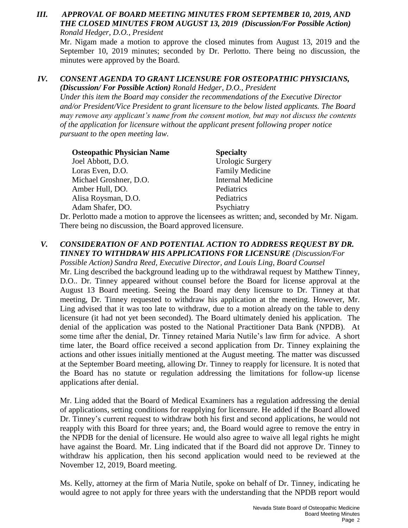### *III. APPROVAL OF BOARD MEETING MINUTES FROM SEPTEMBER 10, 2019, AND THE CLOSED MINUTES FROM AUGUST 13, 2019 (Discussion/For Possible Action) Ronald Hedger, D.O., President*

Mr. Nigam made a motion to approve the closed minutes from August 13, 2019 and the September 10, 2019 minutes; seconded by Dr. Perlotto. There being no discussion, the minutes were approved by the Board.

#### *IV. CONSENT AGENDA TO GRANT LICENSURE FOR OSTEOPATHIC PHYSICIANS, (Discussion/ For Possible Action) Ronald Hedger, D.O., President*

*Under this item the Board may consider the recommendations of the Executive Director and/or President/Vice President to grant licensure to the below listed applicants. The Board may remove any applicant's name from the consent motion, but may not discuss the contents of the application for licensure without the applicant present following proper notice pursuant to the open meeting law.*

**Osteopathic Physician Name Specialty** Joel Abbott, D.O. Urologic Surgery Loras Even, D.O. **Family Medicine** Michael Groshner, D.O. Internal Medicine Amber Hull, DO. Pediatrics Alisa Roysman, D.O. Pediatrics Adam Shafer, DO. Psychiatry

Dr. Perlotto made a motion to approve the licensees as written; and, seconded by Mr. Nigam. There being no discussion, the Board approved licensure.

## *V. CONSIDERATION OF AND POTENTIAL ACTION TO ADDRESS REQUEST BY DR. TINNEY TO WITHDRAW HIS APPLICATIONS FOR LICENSURE (Discussion/For*

*Possible Action) Sandra Reed, Executive Director, and Louis Ling, Board Counsel* Mr. Ling described the background leading up to the withdrawal request by Matthew Tinney, D.O.. Dr. Tinney appeared without counsel before the Board for license approval at the August 13 Board meeting. Seeing the Board may deny licensure to Dr. Tinney at that meeting, Dr. Tinney requested to withdraw his application at the meeting. However, Mr. Ling advised that it was too late to withdraw, due to a motion already on the table to deny licensure (it had not yet been seconded). The Board ultimately denied his application. The denial of the application was posted to the National Practitioner Data Bank (NPDB). At some time after the denial, Dr. Tinney retained Maria Nutile's law firm for advice. A short time later, the Board office received a second application from Dr. Tinney explaining the actions and other issues initially mentioned at the August meeting. The matter was discussed at the September Board meeting, allowing Dr. Tinney to reapply for licensure. It is noted that the Board has no statute or regulation addressing the limitations for follow-up license applications after denial.

Mr. Ling added that the Board of Medical Examiners has a regulation addressing the denial of applications, setting conditions for reapplying for licensure. He added if the Board allowed Dr. Tinney's current request to withdraw both his first and second applications, he would not reapply with this Board for three years; and, the Board would agree to remove the entry in the NPDB for the denial of licensure. He would also agree to waive all legal rights he might have against the Board. Mr. Ling indicated that if the Board did not approve Dr. Tinney to withdraw his application, then his second application would need to be reviewed at the November 12, 2019, Board meeting.

Ms. Kelly, attorney at the firm of Maria Nutile, spoke on behalf of Dr. Tinney, indicating he would agree to not apply for three years with the understanding that the NPDB report would